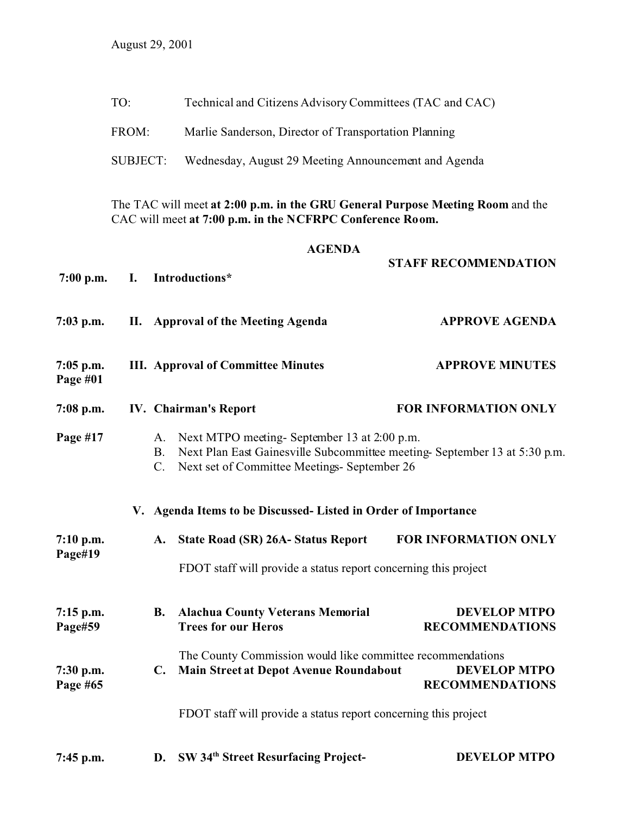FROM: Marlie Sanderson, Director of Transportation Planning

SUBJECT: Wednesday, August 29 Meeting Announcement and Agenda

The TAC will meet **at 2:00 p.m. in the GRU General Purpose Meeting Room** and the CAC will meet **at 7:00 p.m. in the NCFRPC Conference Room.**

## **AGENDA**

| $7:00$ p.m.             | Ι. | Introductions*                                                                                                                                                                                                   | <b>STAFF RECOMMENDATION</b>                   |
|-------------------------|----|------------------------------------------------------------------------------------------------------------------------------------------------------------------------------------------------------------------|-----------------------------------------------|
| $7:03$ p.m.             |    | II. Approval of the Meeting Agenda                                                                                                                                                                               | <b>APPROVE AGENDA</b>                         |
| $7:05$ p.m.<br>Page #01 |    | <b>III. Approval of Committee Minutes</b>                                                                                                                                                                        | <b>APPROVE MINUTES</b>                        |
| 7:08 p.m.               |    | <b>IV.</b> Chairman's Report                                                                                                                                                                                     | <b>FOR INFORMATION ONLY</b>                   |
| Page #17                |    | Next MTPO meeting- September 13 at 2:00 p.m.<br>A.<br>Next Plan East Gainesville Subcommittee meeting-September 13 at 5:30 p.m.<br>B <sub>r</sub><br>Next set of Committee Meetings- September 26<br>$C_{\cdot}$ |                                               |
|                         |    | V. Agenda Items to be Discussed- Listed in Order of Importance                                                                                                                                                   |                                               |
| $7:10$ p.m.<br>Page#19  |    | <b>State Road (SR) 26A- Status Report</b><br>A.                                                                                                                                                                  | <b>FOR INFORMATION ONLY</b>                   |
|                         |    | FDOT staff will provide a status report concerning this project                                                                                                                                                  |                                               |
| $7:15$ p.m.<br>Page#59  |    | <b>Alachua County Veterans Memorial</b><br><b>B.</b><br><b>Trees for our Heros</b>                                                                                                                               | <b>DEVELOP MTPO</b><br><b>RECOMMENDATIONS</b> |
| 7:30 p.m.<br>Page #65   |    | The County Commission would like committee recommendations<br>Main Street at Depot Avenue Roundabout<br>$\mathbf{C}$ .                                                                                           | <b>DEVELOP MTPO</b><br><b>RECOMMENDATIONS</b> |
|                         |    | FDOT staff will provide a status report concerning this project                                                                                                                                                  |                                               |
| $7:45$ p.m.             |    | SW 34th Street Resurfacing Project-<br>D.                                                                                                                                                                        | <b>DEVELOP MTPO</b>                           |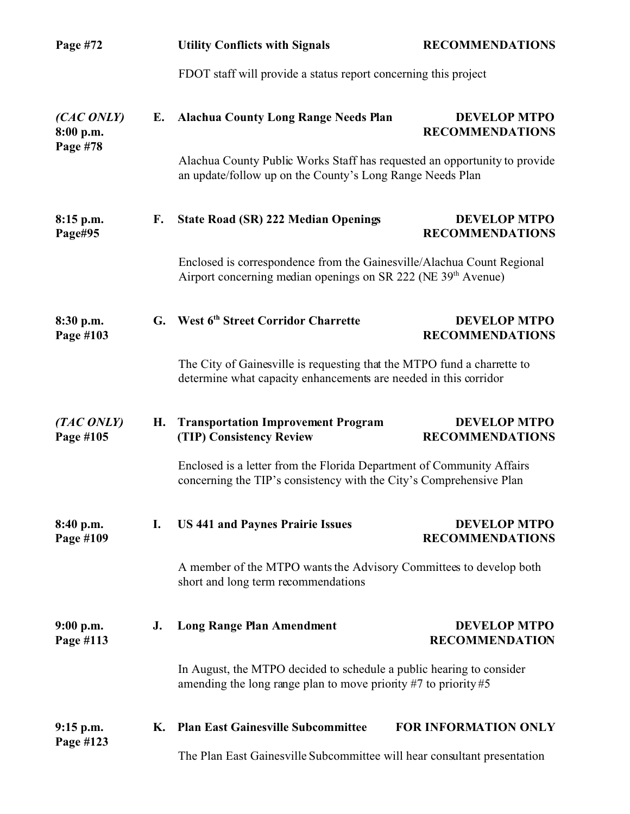| Page #72                            |    | <b>Utility Conflicts with Signals</b>                                                                                                               | <b>RECOMMENDATIONS</b>                        |  |
|-------------------------------------|----|-----------------------------------------------------------------------------------------------------------------------------------------------------|-----------------------------------------------|--|
|                                     |    | FDOT staff will provide a status report concerning this project                                                                                     |                                               |  |
| (CAC ONLY)<br>8:00 p.m.<br>Page #78 | Е. | <b>Alachua County Long Range Needs Plan</b>                                                                                                         | <b>DEVELOP MTPO</b><br><b>RECOMMENDATIONS</b> |  |
|                                     |    | Alachua County Public Works Staff has requested an opportunity to provide<br>an update/follow up on the County's Long Range Needs Plan              |                                               |  |
| $8:15$ p.m.<br>Page#95              | F. | <b>State Road (SR) 222 Median Openings</b>                                                                                                          | <b>DEVELOP MTPO</b><br><b>RECOMMENDATIONS</b> |  |
|                                     |    | Enclosed is correspondence from the Gainesville/Alachua Count Regional<br>Airport concerning median openings on SR 222 (NE 39 <sup>th</sup> Avenue) |                                               |  |
| 8:30 p.m.<br>Page #103              |    | G. West 6th Street Corridor Charrette                                                                                                               | <b>DEVELOP MTPO</b><br><b>RECOMMENDATIONS</b> |  |
|                                     |    | The City of Gainesville is requesting that the MTPO fund a charrette to<br>determine what capacity enhancements are needed in this corridor         |                                               |  |
| (TAC ONLY)<br>Page #105             | Н. | <b>Transportation Improvement Program</b><br>(TIP) Consistency Review                                                                               | <b>DEVELOP MTPO</b><br><b>RECOMMENDATIONS</b> |  |
|                                     |    | Enclosed is a letter from the Florida Department of Community Affairs<br>concerning the TIP's consistency with the City's Comprehensive Plan        |                                               |  |
| 8:40 p.m.<br>Page #109              | I. | <b>US 441 and Paynes Prairie Issues</b>                                                                                                             | <b>DEVELOP MTPO</b><br><b>RECOMMENDATIONS</b> |  |
|                                     |    | A member of the MTPO wants the Advisory Committees to develop both<br>short and long term recommendations                                           |                                               |  |
| $9:00$ p.m.<br>Page #113            | J. | <b>Long Range Plan Amendment</b>                                                                                                                    | <b>DEVELOP MTPO</b><br><b>RECOMMENDATION</b>  |  |
|                                     |    | In August, the MTPO decided to schedule a public hearing to consider<br>amending the long range plan to move priority #7 to priority #5             |                                               |  |
| $9:15$ p.m.                         | К. | <b>Plan East Gainesville Subcommittee</b>                                                                                                           | FOR INFORMATION ONLY                          |  |
| Page #123                           |    | The Plan East Gainesville Subcommittee will hear consultant presentation                                                                            |                                               |  |